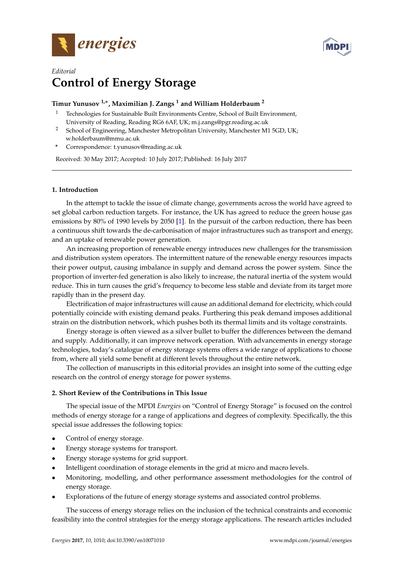



# *Editorial* **Control of Energy Storage**

# **Timur Yunusov 1,**<sup>∗</sup> **, Maximilian J. Zangs <sup>1</sup> and William Holderbaum <sup>2</sup>**

- <sup>1</sup> Technologies for Sustainable Built Environments Centre, School of Built Environment, University of Reading, Reading RG6 6AF, UK; m.j.zangs@pgr.reading.ac.uk
- <sup>2</sup> School of Engineering, Manchester Metropolitan University, Manchester M1 5GD, UK; w.holderbaum@mmu.ac.uk
- **\*** Correspondence: t.yunusov@reading.ac.uk

Received: 30 May 2017; Accepted: 10 July 2017; Published: 16 July 2017

# **1. Introduction**

In the attempt to tackle the issue of climate change, governments across the world have agreed to set global carbon reduction targets. For instance, the UK has agreed to reduce the green house gas emissions by 80% of 1990 levels by 2050 [\[1\]](#page-3-0). In the pursuit of the carbon reduction, there has been a continuous shift towards the de-carbonisation of major infrastructures such as transport and energy, and an uptake of renewable power generation.

An increasing proportion of renewable energy introduces new challenges for the transmission and distribution system operators. The intermittent nature of the renewable energy resources impacts their power output, causing imbalance in supply and demand across the power system. Since the proportion of inverter-fed generation is also likely to increase, the natural inertia of the system would reduce. This in turn causes the grid's frequency to become less stable and deviate from its target more rapidly than in the present day.

Electrification of major infrastructures will cause an additional demand for electricity, which could potentially coincide with existing demand peaks. Furthering this peak demand imposes additional strain on the distribution network, which pushes both its thermal limits and its voltage constraints.

Energy storage is often viewed as a silver bullet to buffer the differences between the demand and supply. Additionally, it can improve network operation. With advancements in energy storage technologies, today's catalogue of energy storage systems offers a wide range of applications to choose from, where all yield some benefit at different levels throughout the entire network.

The collection of manuscripts in this editorial provides an insight into some of the cutting edge research on the control of energy storage for power systems.

## **2. Short Review of the Contributions in This Issue**

The special issue of the MPDI *Energies* on "Control of Energy Storage" is focused on the control methods of energy storage for a range of applications and degrees of complexity. Specifically, the this special issue addresses the following topics:

- Control of energy storage.
- Energy storage systems for transport.
- Energy storage systems for grid support.
- Intelligent coordination of storage elements in the grid at micro and macro levels.
- Monitoring, modelling, and other performance assessment methodologies for the control of energy storage.
- Explorations of the future of energy storage systems and associated control problems.

The success of energy storage relies on the inclusion of the technical constraints and economic feasibility into the control strategies for the energy storage applications. The research articles included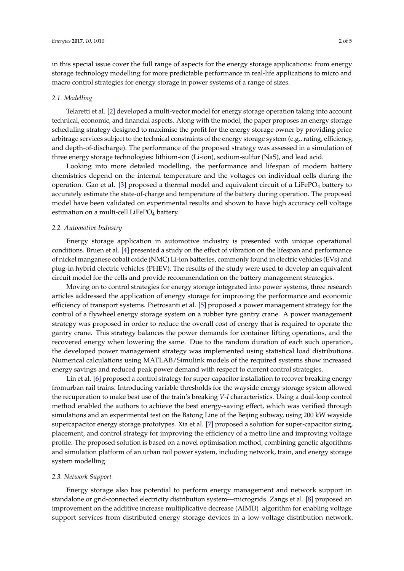in this special issue cover the full range of aspects for the energy storage applications: from energy storage technology modelling for more predictable performance in real-life applications to micro and macro control strategies for energy storage in power systems of a range of sizes.

#### *2.1. Modelling*

Telaretti et al. [\[2\]](#page-3-1) developed a multi-vector model for energy storage operation taking into account technical, economic, and financial aspects. Along with the model, the paper proposes an energy storage scheduling strategy designed to maximise the profit for the energy storage owner by providing price arbitrage services subject to the technical constraints of the energy storage system (e.g., rating, efficiency, and depth-of-discharge). The performance of the proposed strategy was assessed in a simulation of three energy storage technologies: lithium-ion (Li-ion), sodium-sulfur (NaS), and lead acid.

Looking into more detailed modelling, the performance and lifespan of modern battery chemistries depend on the internal temperature and the voltages on individual cells during the operation. Gao et al. [\[3\]](#page-3-2) proposed a thermal model and equivalent circuit of a LiFePO<sub>4</sub> battery to accurately estimate the state-of-charge and temperature of the battery during operation. The proposed model have been validated on experimental results and shown to have high accuracy cell voltage estimation on a multi-cell LiFeP $O_4$  battery.

## *2.2. Automotive Industry*

Energy storage application in automotive industry is presented with unique operational conditions. Bruen et al. [\[4\]](#page-3-3) presented a study on the effect of vibration on the lifespan and performance of nickel manganese cobalt oxide (NMC) Li-ion batteries, commonly found in electric vehicles (EVs) and plug-in hybrid electric vehicles (PHEV). The results of the study were used to develop an equivalent circuit model for the cells and provide recommendation on the battery management strategies.

Moving on to control strategies for energy storage integrated into power systems, three research articles addressed the application of energy storage for improving the performance and economic efficiency of transport systems. Pietrosanti et al. [\[5\]](#page-3-4) proposed a power management strategy for the control of a flywheel energy storage system on a rubber tyre gantry crane. A power management strategy was proposed in order to reduce the overall cost of energy that is required to operate the gantry crane. This strategy balances the power demands for container lifting operations, and the recovered energy when lowering the same. Due to the random duration of each such operation, the developed power management strategy was implemented using statistical load distributions. Numerical calculations using MATLAB/Simulink models of the required systems show increased energy savings and reduced peak power demand with respect to current control strategies.

Lin et al. [\[6\]](#page-4-0) proposed a control strategy for super-capacitor installation to recover breaking energy fromurban rail trains. Introducing variable thresholds for the wayside energy storage system allowed the recuperation to make best use of the train's breaking *V*-*I* characteristics. Using a dual-loop control method enabled the authors to achieve the best energy-saving effect, which was verified through simulations and an experimental test on the Batong Line of the Beijing subway, using 200 kW wayside supercapacitor energy storage prototypes. Xia et al. [\[7\]](#page-4-1) proposed a solution for super-capacitor sizing, placement, and control strategy for improving the efficiency of a metro line and improving voltage profile. The proposed solution is based on a novel optimisation method, combining genetic algorithms and simulation platform of an urban rail power system, including network, train, and energy storage system modelling.

#### *2.3. Network Support*

Energy storage also has potential to perform energy management and network support in standalone or grid-connected electricity distribution system—microgrids. Zangs et al. [\[8\]](#page-4-2) proposed an improvement on the additive increase multiplicative decrease (AIMD) algorithm for enabling voltage support services from distributed energy storage devices in a low-voltage distribution network.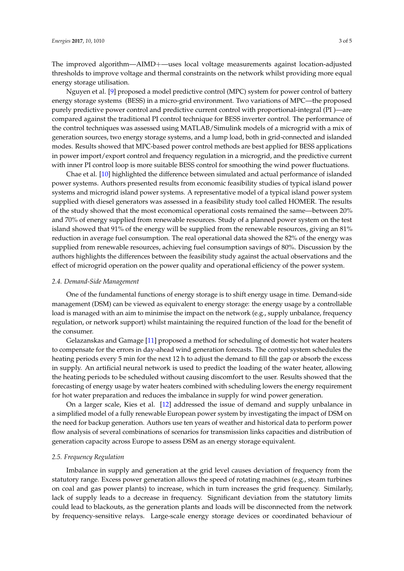The improved algorithm—AIMD+—uses local voltage measurements against location-adjusted thresholds to improve voltage and thermal constraints on the network whilst providing more equal energy storage utilisation.

Nguyen et al. [\[9\]](#page-4-3) proposed a model predictive control (MPC) system for power control of battery energy storage systems (BESS) in a micro-grid environment. Two variations of MPC—the proposed purely predictive power control and predictive current control with proportional-integral (PI )—are compared against the traditional PI control technique for BESS inverter control. The performance of the control techniques was assessed using MATLAB/Simulink models of a microgrid with a mix of generation sources, two energy storage systems, and a lump load, both in grid-connected and islanded modes. Results showed that MPC-based power control methods are best applied for BESS applications in power import/export control and frequency regulation in a microgrid, and the predictive current with inner PI control loop is more suitable BESS control for smoothing the wind power fluctuations.

Chae et al. [\[10\]](#page-4-4) highlighted the difference between simulated and actual performance of islanded power systems. Authors presented results from economic feasibility studies of typical island power systems and microgrid island power systems. A representative model of a typical island power system supplied with diesel generators was assessed in a feasibility study tool called HOMER. The results of the study showed that the most economical operational costs remained the same—between 20% and 70% of energy supplied from renewable resources. Study of a planned power system on the test island showed that 91% of the energy will be supplied from the renewable resources, giving an 81% reduction in average fuel consumption. The real operational data showed the 82% of the energy was supplied from renewable resources, achieving fuel consumption savings of 80%. Discussion by the authors highlights the differences between the feasibility study against the actual observations and the effect of microgrid operation on the power quality and operational efficiency of the power system.

#### *2.4. Demand-Side Management*

One of the fundamental functions of energy storage is to shift energy usage in time. Demand-side management (DSM) can be viewed as equivalent to energy storage: the energy usage by a controllable load is managed with an aim to minimise the impact on the network (e.g., supply unbalance, frequency regulation, or network support) whilst maintaining the required function of the load for the benefit of the consumer.

Gelazanskas and Gamage [\[11\]](#page-4-5) proposed a method for scheduling of domestic hot water heaters to compensate for the errors in day-ahead wind generation forecasts. The control system schedules the heating periods every 5 min for the next 12 h to adjust the demand to fill the gap or absorb the excess in supply. An artificial neural network is used to predict the loading of the water heater, allowing the heating periods to be scheduled without causing discomfort to the user. Results showed that the forecasting of energy usage by water heaters combined with scheduling lowers the energy requirement for hot water preparation and reduces the imbalance in supply for wind power generation.

On a larger scale, Kies et al. [\[12\]](#page-4-6) addressed the issue of demand and supply unbalance in a simplified model of a fully renewable European power system by investigating the impact of DSM on the need for backup generation. Authors use ten years of weather and historical data to perform power flow analysis of several combinations of scenarios for transmission links capacities and distribution of generation capacity across Europe to assess DSM as an energy storage equivalent.

### *2.5. Frequency Regulation*

Imbalance in supply and generation at the grid level causes deviation of frequency from the statutory range. Excess power generation allows the speed of rotating machines (e.g., steam turbines on coal and gas power plants) to increase, which in turn increases the grid frequency. Similarly, lack of supply leads to a decrease in frequency. Significant deviation from the statutory limits could lead to blackouts, as the generation plants and loads will be disconnected from the network by frequency-sensitive relays. Large-scale energy storage devices or coordinated behaviour of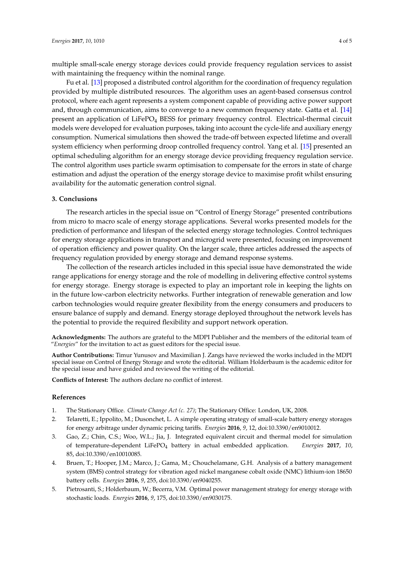multiple small-scale energy storage devices could provide frequency regulation services to assist with maintaining the frequency within the nominal range.

Fu et al. [\[13\]](#page-4-7) proposed a distributed control algorithm for the coordination of frequency regulation provided by multiple distributed resources. The algorithm uses an agent-based consensus control protocol, where each agent represents a system component capable of providing active power support and, through communication, aims to converge to a new common frequency state. Gatta et al. [\[14\]](#page-4-8) present an application of LiFePO<sup>4</sup> BESS for primary frequency control. Electrical-thermal circuit models were developed for evaluation purposes, taking into account the cycle-life and auxiliary energy consumption. Numerical simulations then showed the trade-off between expected lifetime and overall system efficiency when performing droop controlled frequency control. Yang et al. [\[15\]](#page-4-9) presented an optimal scheduling algorithm for an energy storage device providing frequency regulation service. The control algorithm uses particle swarm optimisation to compensate for the errors in state of charge estimation and adjust the operation of the energy storage device to maximise profit whilst ensuring availability for the automatic generation control signal.

#### **3. Conclusions**

The research articles in the special issue on "Control of Energy Storage" presented contributions from micro to macro scale of energy storage applications. Several works presented models for the prediction of performance and lifespan of the selected energy storage technologies. Control techniques for energy storage applications in transport and microgrid were presented, focusing on improvement of operation efficiency and power quality. On the larger scale, three articles addressed the aspects of frequency regulation provided by energy storage and demand response systems.

The collection of the research articles included in this special issue have demonstrated the wide range applications for energy storage and the role of modelling in delivering effective control systems for energy storage. Energy storage is expected to play an important role in keeping the lights on in the future low-carbon electricity networks. Further integration of renewable generation and low carbon technologies would require greater flexibility from the energy consumers and producers to ensure balance of supply and demand. Energy storage deployed throughout the network levels has the potential to provide the required flexibility and support network operation.

**Acknowledgments:** The authors are grateful to the MDPI Publisher and the members of the editorial team of "*Energies*" for the invitation to act as guest editors for the special issue.

**Author Contributions:** Timur Yunusov and Maximilian J. Zangs have reviewed the works included in the MDPI special issue on Control of Energy Storage and wrote the editorial. William Holderbaum is the academic editor for the special issue and have guided and reviewed the writing of the editorial.

**Conflicts of Interest:** The authors declare no conflict of interest.

## **References**

- <span id="page-3-0"></span>1. The Stationary Office. *Climate Change Act (c. 27)*; The Stationary Office: London, UK, 2008.
- <span id="page-3-1"></span>2. Telaretti, E.; Ippolito, M.; Dusonchet, L. A simple operating strategy of small-scale battery energy storages for energy arbitrage under dynamic pricing tariffs. *Energies* **2016**, *9*, 12, doi:10.3390/en9010012.
- <span id="page-3-2"></span>3. Gao, Z.; Chin, C.S.; Woo, W.L.; Jia, J. Integrated equivalent circuit and thermal model for simulation of temperature-dependent LiFePO<sup>4</sup> battery in actual embedded application. *Energies* **2017**, *10*, 85, doi:10.3390/en10010085.
- <span id="page-3-3"></span>4. Bruen, T.; Hooper, J.M.; Marco, J.; Gama, M.; Chouchelamane, G.H. Analysis of a battery management system (BMS) control strategy for vibration aged nickel manganese cobalt oxide (NMC) lithium-ion 18650 battery cells. *Energies* **2016**, *9*, 255, doi:10.3390/en9040255.
- <span id="page-3-4"></span>5. Pietrosanti, S.; Holderbaum, W.; Becerra, V.M. Optimal power management strategy for energy storage with stochastic loads. *Energies* **2016**, *9*, 175, doi:10.3390/en9030175.